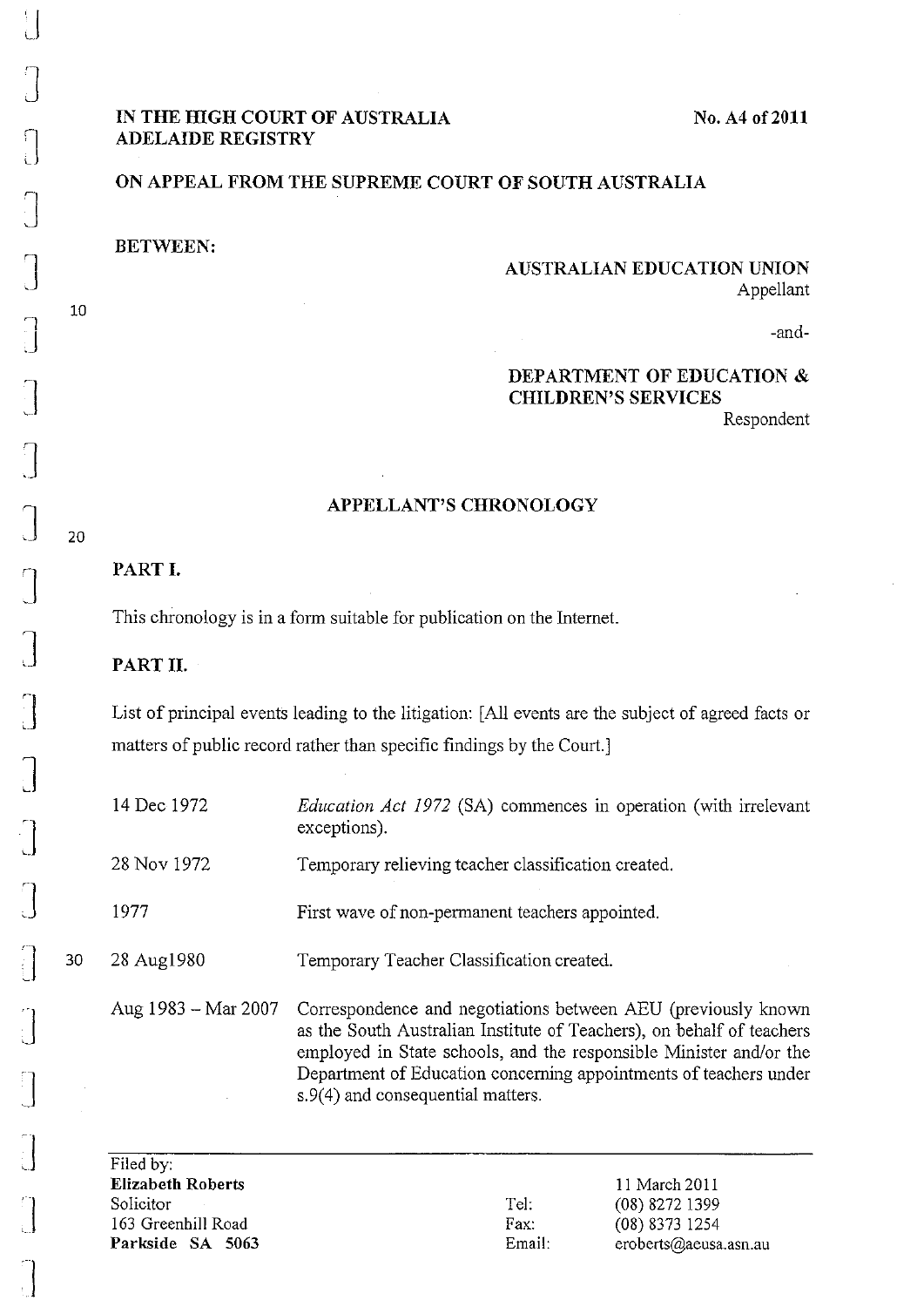$\vert$ 

# **IN THE HIGH COURT OF AUSTRALIA ADELAIDE REGISTRY**

## **No. A4 of2011**

### **ON APPEAL FROM THE SUPREME COURT OF SOUTH AUSTRALIA**

**BETWEEN:** 

10

20

## **AUSTRALIAN EDUCATION UNION**  Appellant

-and-

# **DEPARTMENT** OF EDUCATION **& CHILDREN'S SERVICES**

Respondent

## **APPELLANT'S CHRONOLOGY**

### PART I.

This chronology is in a form suitable for publication on the Internet.

#### PART II.

List of principal events leading to the litigation: [All events are the subject of agreed facts or matters of public record rather than specific findings by the Court.]

| $\int$            |    | 14 Dec 1972         | <i>Education Act 1972</i> (SA) commences in operation (with irrelevant<br>exceptions).                                                                                                                       |
|-------------------|----|---------------------|--------------------------------------------------------------------------------------------------------------------------------------------------------------------------------------------------------------|
|                   |    | 28 Nov 1972         | Temporary relieving teacher classification created.                                                                                                                                                          |
|                   |    | 1977                | First wave of non-permanent teachers appointed.                                                                                                                                                              |
| $\prod_{i=1}^{n}$ | 30 | 28 Aug1980          | Temporary Teacher Classification created.                                                                                                                                                                    |
| $\int$            |    | Aug 1983 – Mar 2007 | Correspondence and negotiations between AEU (previously known<br>as the South Australian Institute of Teachers), on behalf of teachers<br>employed in State schools, and the responsible Minister and/or the |
| ា                 |    |                     | Department of Education concerning appointments of teachers under                                                                                                                                            |

s.9(4) and consequential matters.

Filed by: **Elizabeth Roberts**  Solicitor 163 Greenhill Road **Parkside** SA 5063

Tel: Fax: Email:

11 March 2011 (08) 8272 1399 (08) 8373 1254 eroberts@aeusa.asn.au